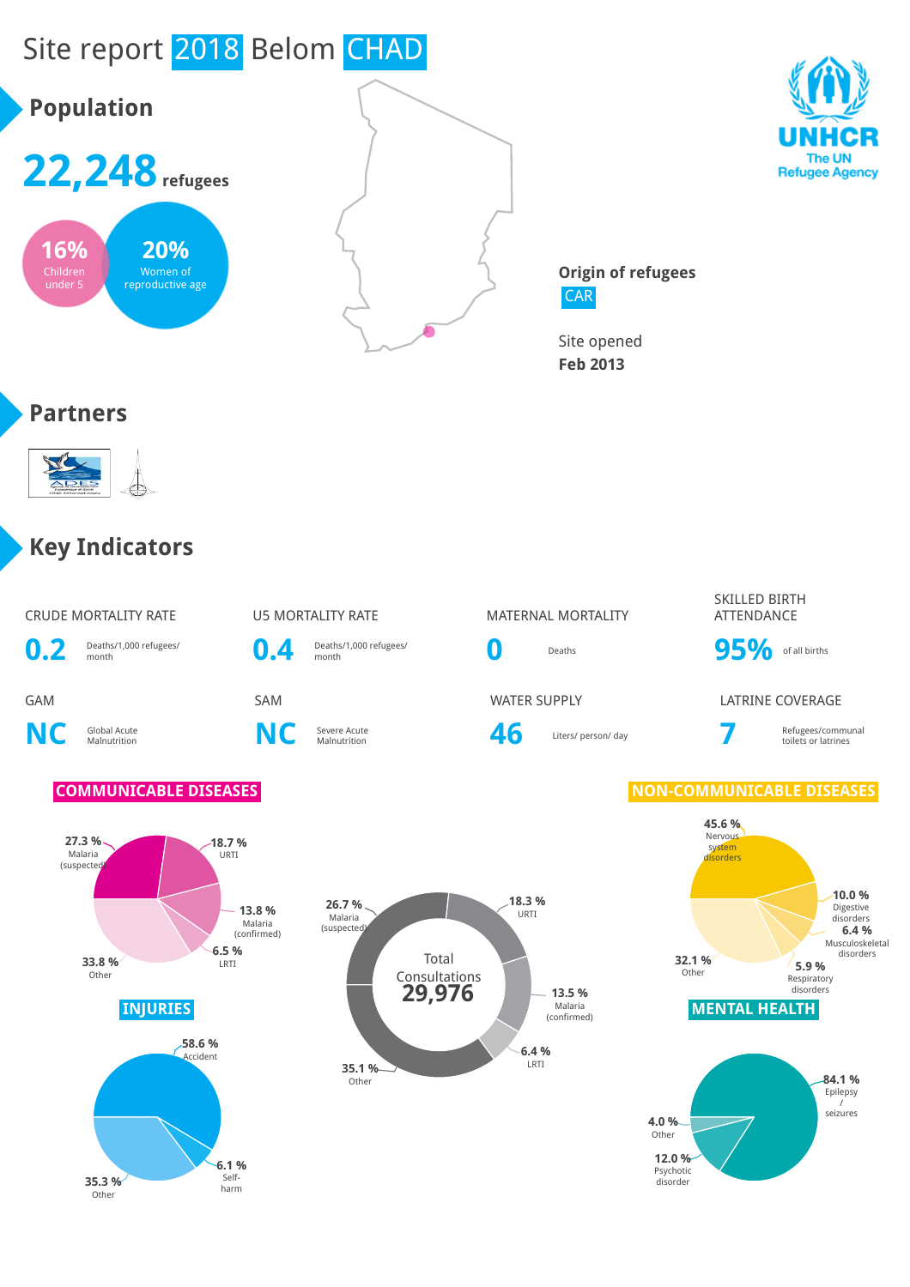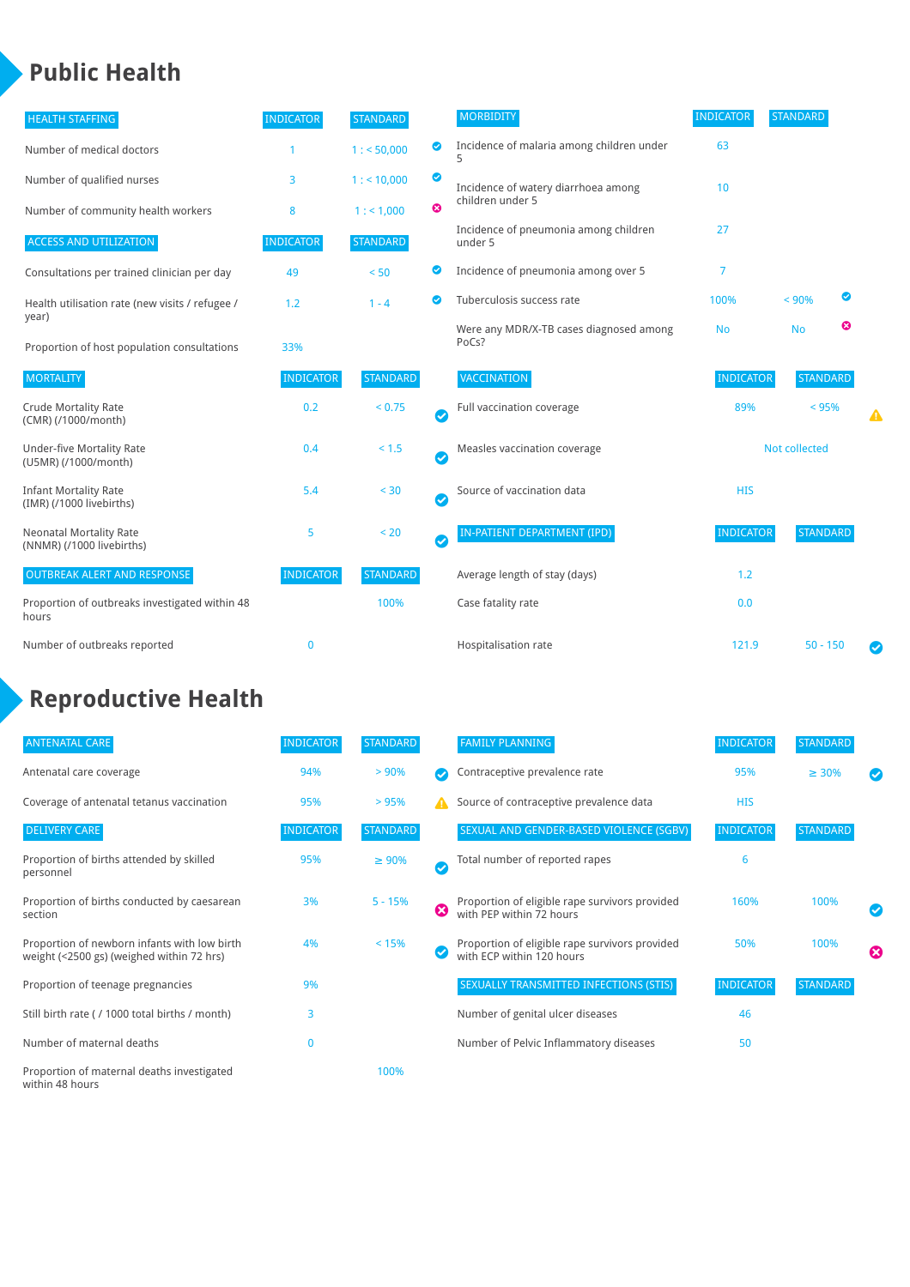## **Public Health**

| <b>HEALTH STAFFING</b>                                      | <b>INDICATOR</b> | <b>STANDARD</b> |                            | <b>MORBIDITY</b>                                 | <b>INDICATOR</b>     | <b>STANDARD</b> |   |   |
|-------------------------------------------------------------|------------------|-----------------|----------------------------|--------------------------------------------------|----------------------|-----------------|---|---|
| Number of medical doctors                                   |                  | 1: 50,000       | ◙                          | Incidence of malaria among children under        | 63                   |                 |   |   |
| Number of qualified nurses                                  | 3                | 1:10,000        | $\bullet$                  | Incidence of watery diarrhoea among              | 10                   |                 |   |   |
| Number of community health workers                          | 8                | 1: 1,000        | $\boldsymbol{\Omega}$      | children under 5                                 |                      |                 |   |   |
| <b>ACCESS AND UTILIZATION</b>                               | <b>INDICATOR</b> | <b>STANDARD</b> |                            | Incidence of pneumonia among children<br>under 5 | 27                   |                 |   |   |
| Consultations per trained clinician per day                 | 49               | < 50            | ◙                          | Incidence of pneumonia among over 5              | $\overline{7}$       |                 |   |   |
| Health utilisation rate (new visits / refugee /             | 1.2              | $1 - 4$         | $\bullet$                  | Tuberculosis success rate                        | 100%                 | < 90%           | ◙ |   |
| year)<br>Proportion of host population consultations        | 33%              |                 |                            | Were any MDR/X-TB cases diagnosed among<br>PoCs? | <b>No</b>            | <b>No</b>       | ☺ |   |
| <b>MORTALITY</b>                                            | <b>INDICATOR</b> | <b>STANDARD</b> |                            | <b>VACCINATION</b>                               | <b>INDICATOR</b>     | <b>STANDARD</b> |   |   |
| <b>Crude Mortality Rate</b><br>(CMR) (/1000/month)          | 0.2              | < 0.75          | $\bullet$                  | Full vaccination coverage                        | 89%                  | < 95%           |   |   |
| <b>Under-five Mortality Rate</b><br>(U5MR) (/1000/month)    | 0.4              | $< 1.5$         | $\bm{\bm\omega}$           | Measles vaccination coverage                     | <b>Not collected</b> |                 |   |   |
| <b>Infant Mortality Rate</b><br>(IMR) (/1000 livebirths)    | 5.4              | < 30            | $\boldsymbol{\mathcal{C}}$ | Source of vaccination data                       | <b>HIS</b>           |                 |   |   |
| <b>Neonatal Mortality Rate</b><br>(NNMR) (/1000 livebirths) | 5                | < 20            | $\bullet$                  | IN-PATIENT DEPARTMENT (IPD)                      | <b>INDICATOR</b>     | <b>STANDARD</b> |   |   |
| <b>OUTBREAK ALERT AND RESPONSE</b>                          | <b>INDICATOR</b> | <b>STANDARD</b> |                            | Average length of stay (days)                    | 1.2                  |                 |   |   |
| Proportion of outbreaks investigated within 48<br>hours     |                  | 100%            |                            | Case fatality rate                               | 0.0                  |                 |   |   |
| Number of outbreaks reported                                | $\bf{0}$         |                 |                            | Hospitalisation rate                             | 121.9                | $50 - 150$      |   | Ø |

# **Reproductive Health**

| <b>ANTENATAL CARE</b>                                                                     | <b>INDICATOR</b> | <b>STANDARD</b> |   | <b>FAMILY PLANNING</b>                                                      | <b>INDICATOR</b> | <b>STANDARD</b> |                       |
|-------------------------------------------------------------------------------------------|------------------|-----------------|---|-----------------------------------------------------------------------------|------------------|-----------------|-----------------------|
| Antenatal care coverage                                                                   | 94%              | > 90%           |   | Contraceptive prevalence rate                                               | 95%              | $\geq 30\%$     |                       |
| Coverage of antenatal tetanus vaccination                                                 | 95%              | > 95%           | А | Source of contraceptive prevalence data                                     | <b>HIS</b>       |                 |                       |
| <b>DELIVERY CARE</b>                                                                      | <b>INDICATOR</b> | <b>STANDARD</b> |   | SEXUAL AND GENDER-BASED VIOLENCE (SGBV)                                     | <b>INDICATOR</b> | <b>STANDARD</b> |                       |
| Proportion of births attended by skilled<br>personnel                                     | 95%              | $\geq 90\%$     | ✓ | Total number of reported rapes                                              | 6                |                 |                       |
| Proportion of births conducted by caesarean<br>section                                    | 3%               | $5 - 15%$       | ☎ | Proportion of eligible rape survivors provided<br>with PEP within 72 hours  | 160%             | 100%            |                       |
| Proportion of newborn infants with low birth<br>weight (<2500 gs) (weighed within 72 hrs) | 4%               | < 15%           |   | Proportion of eligible rape survivors provided<br>with ECP within 120 hours | 50%              | 100%            | $\boldsymbol{\Omega}$ |
| Proportion of teenage pregnancies                                                         | 9%               |                 |   | SEXUALLY TRANSMITTED INFECTIONS (STIS)                                      | <b>INDICATOR</b> | <b>STANDARD</b> |                       |
| Still birth rate (/1000 total births / month)                                             | 3                |                 |   | Number of genital ulcer diseases                                            | 46               |                 |                       |
| Number of maternal deaths                                                                 | $\mathbf 0$      |                 |   | Number of Pelvic Inflammatory diseases                                      | 50               |                 |                       |
| Proportion of maternal deaths investigated<br>within 48 hours                             |                  | 100%            |   |                                                                             |                  |                 |                       |